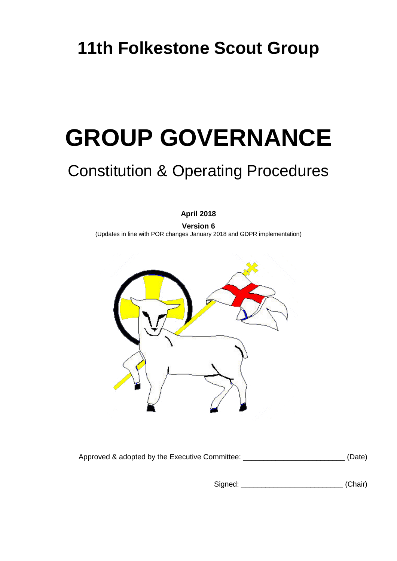# **GROUP GOVERNANCE**

# Constitution & Operating Procedures

**April 2018**

**Version 6** (Updates in line with POR changes January 2018 and GDPR implementation)



Approved & adopted by the Executive Committee: \_\_\_\_\_\_\_\_\_\_\_\_\_\_\_\_\_\_\_\_\_\_\_\_\_\_\_\_\_\_\_\_(Date)

Signed: \_\_\_\_\_\_\_\_\_\_\_\_\_\_\_\_\_\_\_\_\_\_\_\_\_ (Chair)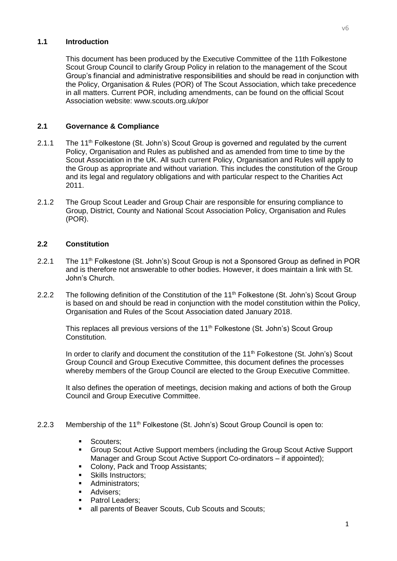# **1.1 Introduction**

This document has been produced by the Executive Committee of the 11th Folkestone Scout Group Council to clarify Group Policy in relation to the management of the Scout Group's financial and administrative responsibilities and should be read in conjunction with the Policy, Organisation & Rules (POR) of The Scout Association, which take precedence in all matters. Current POR, including amendments, can be found on the official Scout Association website: www.scouts.org.uk/por

# **2.1 Governance & Compliance**

- 2.1.1 The 11<sup>th</sup> Folkestone (St. John's) Scout Group is governed and regulated by the current Policy, Organisation and Rules as published and as amended from time to time by the Scout Association in the UK. All such current Policy, Organisation and Rules will apply to the Group as appropriate and without variation. This includes the constitution of the Group and its legal and regulatory obligations and with particular respect to the Charities Act 2011.
- 2.1.2 The Group Scout Leader and Group Chair are responsible for ensuring compliance to Group, District, County and National Scout Association Policy, Organisation and Rules (POR).

# **2.2 Constitution**

- 2.2.1 The 11<sup>th</sup> Folkestone (St. John's) Scout Group is not a Sponsored Group as defined in POR and is therefore not answerable to other bodies. However, it does maintain a link with St. John's Church.
- 2.2.2 The following definition of the Constitution of the 11<sup>th</sup> Folkestone (St. John's) Scout Group is based on and should be read in conjunction with the model constitution within the Policy, Organisation and Rules of the Scout Association dated January 2018.

This replaces all previous versions of the 11<sup>th</sup> Folkestone (St. John's) Scout Group Constitution.

In order to clarify and document the constitution of the 11<sup>th</sup> Folkestone (St. John's) Scout Group Council and Group Executive Committee, this document defines the processes whereby members of the Group Council are elected to the Group Executive Committee.

It also defines the operation of meetings, decision making and actions of both the Group Council and Group Executive Committee.

- 2.2.3 Membership of the 11<sup>th</sup> Folkestone (St. John's) Scout Group Council is open to:
	- Scouters;
	- Group Scout Active Support members (including the Group Scout Active Support Manager and Group Scout Active Support Co-ordinators – if appointed);
	- Colony, Pack and Troop Assistants;
	- Skills Instructors;
	- **Administrators**;
	- Advisers;
	- Patrol Leaders:
	- all parents of Beaver Scouts, Cub Scouts and Scouts;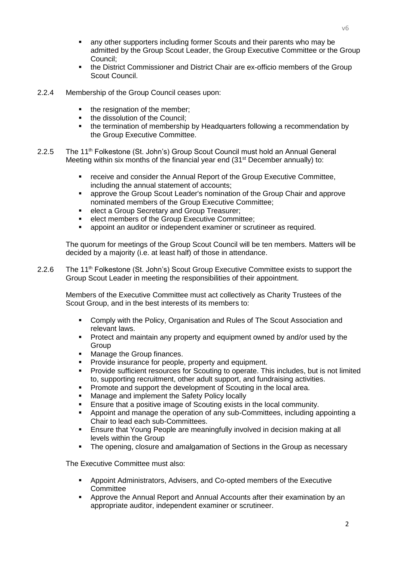- any other supporters including former Scouts and their parents who may be admitted by the Group Scout Leader, the Group Executive Committee or the Group Council;
- the District Commissioner and District Chair are ex-officio members of the Group Scout Council.
- 2.2.4 Membership of the Group Council ceases upon:
	- the resignation of the member:
	- the dissolution of the Council:
	- the termination of membership by Headquarters following a recommendation by the Group Executive Committee.
- 2.2.5 The 11<sup>th</sup> Folkestone (St. John's) Group Scout Council must hold an Annual General Meeting within six months of the financial year end (31<sup>st</sup> December annually) to:
	- receive and consider the Annual Report of the Group Executive Committee, including the annual statement of accounts;
	- **EXEDER** approve the Group Scout Leader's nomination of the Group Chair and approve nominated members of the Group Executive Committee;
	- **Example 2** elect a Group Secretary and Group Treasurer;
	- elect members of the Group Executive Committee;
	- appoint an auditor or independent examiner or scrutineer as required.

The quorum for meetings of the Group Scout Council will be ten members. Matters will be decided by a majority (i.e. at least half) of those in attendance.

2.2.6 The 11<sup>th</sup> Folkestone (St. John's) Scout Group Executive Committee exists to support the Group Scout Leader in meeting the responsibilities of their appointment.

Members of the Executive Committee must act collectively as Charity Trustees of the Scout Group, and in the best interests of its members to:

- Comply with the Policy, Organisation and Rules of The Scout Association and relevant laws.
- **Protect and maintain any property and equipment owned by and/or used by the** Group
- Manage the Group finances.
- Provide insurance for people, property and equipment.
- Provide sufficient resources for Scouting to operate. This includes, but is not limited to, supporting recruitment, other adult support, and fundraising activities.
- Promote and support the development of Scouting in the local area.
- Manage and implement the Safety Policy locally
- Ensure that a positive image of Scouting exists in the local community.
- Appoint and manage the operation of any sub-Committees, including appointing a Chair to lead each sub-Committees.
- Ensure that Young People are meaningfully involved in decision making at all levels within the Group
- The opening, closure and amalgamation of Sections in the Group as necessary

The Executive Committee must also:

- Appoint Administrators, Advisers, and Co-opted members of the Executive **Committee**
- Approve the Annual Report and Annual Accounts after their examination by an appropriate auditor, independent examiner or scrutineer.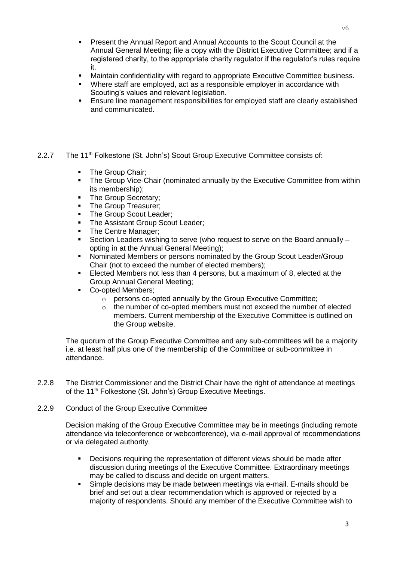- Present the Annual Report and Annual Accounts to the Scout Council at the Annual General Meeting; file a copy with the District Executive Committee; and if a registered charity, to the appropriate charity regulator if the regulator's rules require it.
- Maintain confidentiality with regard to appropriate Executive Committee business.
- Where staff are employed, act as a responsible employer in accordance with Scouting's values and relevant legislation.
- Ensure line management responsibilities for employed staff are clearly established and communicated.
- 2.2.7 The 11<sup>th</sup> Folkestone (St. John's) Scout Group Executive Committee consists of:
	- The Group Chair:
	- The Group Vice-Chair (nominated annually by the Executive Committee from within its membership);
	- The Group Secretary;
	- The Group Treasurer;
	- The Group Scout Leader;
	- The Assistant Group Scout Leader;
	- The Centre Manager;
	- Section Leaders wishing to serve (who request to serve on the Board annually opting in at the Annual General Meeting);
	- Nominated Members or persons nominated by the Group Scout Leader/Group Chair (not to exceed the number of elected members);
	- Elected Members not less than 4 persons, but a maximum of 8, elected at the Group Annual General Meeting;
	- Co-opted Members:
		- o persons co-opted annually by the Group Executive Committee;
		- $\circ$  the number of co-opted members must not exceed the number of elected members. Current membership of the Executive Committee is outlined on the Group website.

The quorum of the Group Executive Committee and any sub-committees will be a majority i.e. at least half plus one of the membership of the Committee or sub-committee in attendance.

- 2.2.8 The District Commissioner and the District Chair have the right of attendance at meetings of the 11<sup>th</sup> Folkestone (St. John's) Group Executive Meetings.
- 2.2.9 Conduct of the Group Executive Committee

Decision making of the Group Executive Committee may be in meetings (including remote attendance via teleconference or webconference), via e-mail approval of recommendations or via delegated authority.

- Decisions requiring the representation of different views should be made after discussion during meetings of the Executive Committee. Extraordinary meetings may be called to discuss and decide on urgent matters.
- Simple decisions may be made between meetings via e-mail. E-mails should be brief and set out a clear recommendation which is approved or rejected by a majority of respondents. Should any member of the Executive Committee wish to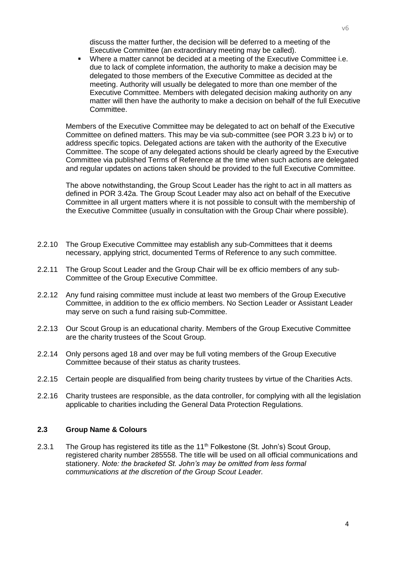discuss the matter further, the decision will be deferred to a meeting of the Executive Committee (an extraordinary meeting may be called).

 Where a matter cannot be decided at a meeting of the Executive Committee i.e. due to lack of complete information, the authority to make a decision may be delegated to those members of the Executive Committee as decided at the meeting. Authority will usually be delegated to more than one member of the Executive Committee. Members with delegated decision making authority on any matter will then have the authority to make a decision on behalf of the full Executive Committee.

Members of the Executive Committee may be delegated to act on behalf of the Executive Committee on defined matters. This may be via sub-committee (see POR 3.23 b iv) or to address specific topics. Delegated actions are taken with the authority of the Executive Committee. The scope of any delegated actions should be clearly agreed by the Executive Committee via published Terms of Reference at the time when such actions are delegated and regular updates on actions taken should be provided to the full Executive Committee.

The above notwithstanding, the Group Scout Leader has the right to act in all matters as defined in POR 3.42a. The Group Scout Leader may also act on behalf of the Executive Committee in all urgent matters where it is not possible to consult with the membership of the Executive Committee (usually in consultation with the Group Chair where possible).

- 2.2.10 The Group Executive Committee may establish any sub-Committees that it deems necessary, applying strict, documented Terms of Reference to any such committee.
- 2.2.11 The Group Scout Leader and the Group Chair will be ex officio members of any sub-Committee of the Group Executive Committee.
- 2.2.12 Any fund raising committee must include at least two members of the Group Executive Committee, in addition to the ex officio members. No Section Leader or Assistant Leader may serve on such a fund raising sub-Committee.
- 2.2.13 Our Scout Group is an educational charity. Members of the Group Executive Committee are the charity trustees of the Scout Group.
- 2.2.14 Only persons aged 18 and over may be full voting members of the Group Executive Committee because of their status as charity trustees.
- 2.2.15 Certain people are disqualified from being charity trustees by virtue of the Charities Acts.
- 2.2.16 Charity trustees are responsible, as the data controller, for complying with all the legislation applicable to charities including the General Data Protection Regulations.

# **2.3 Group Name & Colours**

2.3.1 The Group has registered its title as the  $11<sup>th</sup>$  Folkestone (St. John's) Scout Group, registered charity number 285558. The title will be used on all official communications and stationery. *Note: the bracketed St. John's may be omitted from less formal communications at the discretion of the Group Scout Leader.*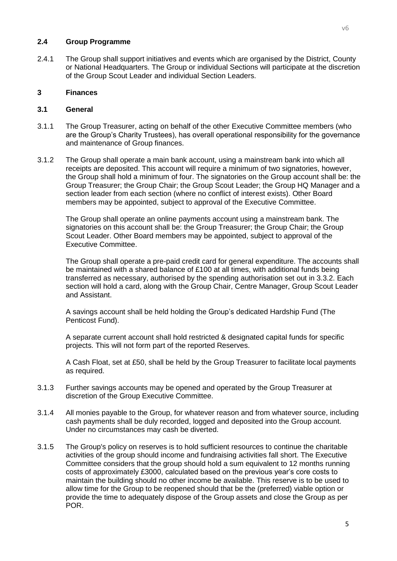#### **2.4 Group Programme**

2.4.1 The Group shall support initiatives and events which are organised by the District, County or National Headquarters. The Group or individual Sections will participate at the discretion of the Group Scout Leader and individual Section Leaders.

# **3 Finances**

#### **3.1 General**

- 3.1.1 The Group Treasurer, acting on behalf of the other Executive Committee members (who are the Group's Charity Trustees), has overall operational responsibility for the governance and maintenance of Group finances.
- 3.1.2 The Group shall operate a main bank account, using a mainstream bank into which all receipts are deposited. This account will require a minimum of two signatories, however, the Group shall hold a minimum of four. The signatories on the Group account shall be: the Group Treasurer; the Group Chair; the Group Scout Leader; the Group HQ Manager and a section leader from each section (where no conflict of interest exists). Other Board members may be appointed, subject to approval of the Executive Committee.

The Group shall operate an online payments account using a mainstream bank. The signatories on this account shall be: the Group Treasurer; the Group Chair; the Group Scout Leader. Other Board members may be appointed, subject to approval of the Executive Committee.

The Group shall operate a pre-paid credit card for general expenditure. The accounts shall be maintained with a shared balance of £100 at all times, with additional funds being transferred as necessary, authorised by the spending authorisation set out in 3.3.2. Each section will hold a card, along with the Group Chair, Centre Manager, Group Scout Leader and Assistant.

A savings account shall be held holding the Group's dedicated Hardship Fund (The Penticost Fund).

A separate current account shall hold restricted & designated capital funds for specific projects. This will not form part of the reported Reserves.

A Cash Float, set at £50, shall be held by the Group Treasurer to facilitate local payments as required.

- 3.1.3 Further savings accounts may be opened and operated by the Group Treasurer at discretion of the Group Executive Committee.
- 3.1.4 All monies payable to the Group, for whatever reason and from whatever source, including cash payments shall be duly recorded, logged and deposited into the Group account. Under no circumstances may cash be diverted.
- 3.1.5 The Group's policy on reserves is to hold sufficient resources to continue the charitable activities of the group should income and fundraising activities fall short. The Executive Committee considers that the group should hold a sum equivalent to 12 months running costs of approximately £3000, calculated based on the previous year's core costs to maintain the building should no other income be available. This reserve is to be used to allow time for the Group to be reopened should that be the (preferred) viable option or provide the time to adequately dispose of the Group assets and close the Group as per POR.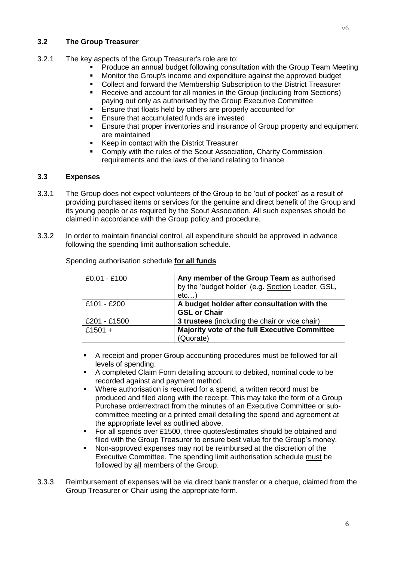# **3.2 The Group Treasurer**

- 3.2.1 The key aspects of the Group Treasurer's role are to:
	- Produce an annual budget following consultation with the Group Team Meeting
	- Monitor the Group's income and expenditure against the approved budget
	- Collect and forward the Membership Subscription to the District Treasurer
	- Receive and account for all monies in the Group (including from Sections) paying out only as authorised by the Group Executive Committee
	- **Ensure that floats held by others are properly accounted for**
	- **Ensure that accumulated funds are invested**
	- **Ensure that proper inventories and insurance of Group property and equipment** are maintained
	- Keep in contact with the District Treasurer
	- Comply with the rules of the Scout Association, Charity Commission requirements and the laws of the land relating to finance

#### **3.3 Expenses**

- 3.3.1 The Group does not expect volunteers of the Group to be 'out of pocket' as a result of providing purchased items or services for the genuine and direct benefit of the Group and its young people or as required by the Scout Association. All such expenses should be claimed in accordance with the Group policy and procedure.
- 3.3.2 In order to maintain financial control, all expenditure should be approved in advance following the spending limit authorisation schedule.

| $£0.01 - £100$ | Any member of the Group Team as authorised        |
|----------------|---------------------------------------------------|
|                | by the 'budget holder' (e.g. Section Leader, GSL, |
|                | etc)                                              |
| £101 - £200    | A budget holder after consultation with the       |
|                | <b>GSL or Chair</b>                               |
| £201 - £1500   | 3 trustees (including the chair or vice chair)    |
| £1501 +        | Majority vote of the full Executive Committee     |
|                | (Quorate)                                         |

Spending authorisation schedule **for all funds**

- A receipt and proper Group accounting procedures must be followed for all levels of spending.
- A completed Claim Form detailing account to debited, nominal code to be recorded against and payment method.
- Where authorisation is required for a spend, a written record must be produced and filed along with the receipt. This may take the form of a Group Purchase order/extract from the minutes of an Executive Committee or subcommittee meeting or a printed email detailing the spend and agreement at the appropriate level as outlined above.
- For all spends over £1500, three quotes/estimates should be obtained and filed with the Group Treasurer to ensure best value for the Group's money.
- Non-approved expenses may not be reimbursed at the discretion of the Executive Committee. The spending limit authorisation schedule must be followed by all members of the Group.
- 3.3.3 Reimbursement of expenses will be via direct bank transfer or a cheque, claimed from the Group Treasurer or Chair using the appropriate form.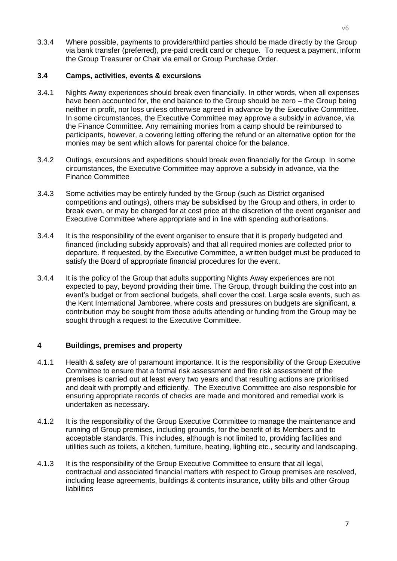3.3.4 Where possible, payments to providers/third parties should be made directly by the Group via bank transfer (preferred), pre-paid credit card or cheque. To request a payment, inform the Group Treasurer or Chair via email or Group Purchase Order.

# **3.4 Camps, activities, events & excursions**

- 3.4.1 Nights Away experiences should break even financially. In other words, when all expenses have been accounted for, the end balance to the Group should be zero – the Group being neither in profit, nor loss unless otherwise agreed in advance by the Executive Committee. In some circumstances, the Executive Committee may approve a subsidy in advance, via the Finance Committee. Any remaining monies from a camp should be reimbursed to participants, however, a covering letting offering the refund or an alternative option for the monies may be sent which allows for parental choice for the balance.
- 3.4.2 Outings, excursions and expeditions should break even financially for the Group. In some circumstances, the Executive Committee may approve a subsidy in advance, via the Finance Committee
- 3.4.3 Some activities may be entirely funded by the Group (such as District organised competitions and outings), others may be subsidised by the Group and others, in order to break even, or may be charged for at cost price at the discretion of the event organiser and Executive Committee where appropriate and in line with spending authorisations.
- 3.4.4 It is the responsibility of the event organiser to ensure that it is properly budgeted and financed (including subsidy approvals) and that all required monies are collected prior to departure. If requested, by the Executive Committee, a written budget must be produced to satisfy the Board of appropriate financial procedures for the event.
- 3.4.4 It is the policy of the Group that adults supporting Nights Away experiences are not expected to pay, beyond providing their time. The Group, through building the cost into an event's budget or from sectional budgets, shall cover the cost. Large scale events, such as the Kent International Jamboree, where costs and pressures on budgets are significant, a contribution may be sought from those adults attending or funding from the Group may be sought through a request to the Executive Committee.

# **4 Buildings, premises and property**

- 4.1.1 Health & safety are of paramount importance. It is the responsibility of the Group Executive Committee to ensure that a formal risk assessment and fire risk assessment of the premises is carried out at least every two years and that resulting actions are prioritised and dealt with promptly and efficiently. The Executive Committee are also responsible for ensuring appropriate records of checks are made and monitored and remedial work is undertaken as necessary.
- 4.1.2 It is the responsibility of the Group Executive Committee to manage the maintenance and running of Group premises, including grounds, for the benefit of its Members and to acceptable standards. This includes, although is not limited to, providing facilities and utilities such as toilets, a kitchen, furniture, heating, lighting etc., security and landscaping.
- 4.1.3 It is the responsibility of the Group Executive Committee to ensure that all legal, contractual and associated financial matters with respect to Group premises are resolved, including lease agreements, buildings & contents insurance, utility bills and other Group liabilities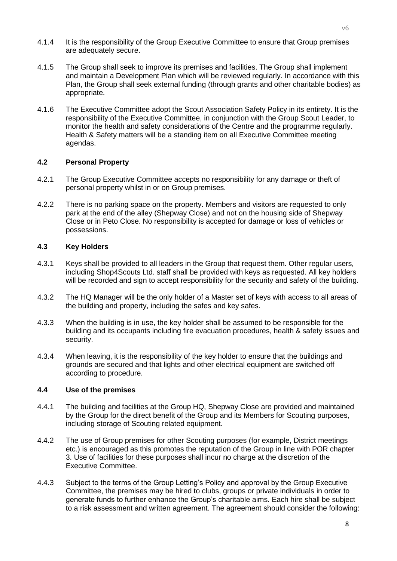- 4.1.4 It is the responsibility of the Group Executive Committee to ensure that Group premises are adequately secure.
- 4.1.5 The Group shall seek to improve its premises and facilities. The Group shall implement and maintain a Development Plan which will be reviewed regularly. In accordance with this Plan, the Group shall seek external funding (through grants and other charitable bodies) as appropriate.
- 4.1.6 The Executive Committee adopt the Scout Association Safety Policy in its entirety. It is the responsibility of the Executive Committee, in conjunction with the Group Scout Leader, to monitor the health and safety considerations of the Centre and the programme regularly. Health & Safety matters will be a standing item on all Executive Committee meeting agendas.

#### **4.2 Personal Property**

- 4.2.1 The Group Executive Committee accepts no responsibility for any damage or theft of personal property whilst in or on Group premises.
- 4.2.2 There is no parking space on the property. Members and visitors are requested to only park at the end of the alley (Shepway Close) and not on the housing side of Shepway Close or in Peto Close. No responsibility is accepted for damage or loss of vehicles or possessions.

#### **4.3 Key Holders**

- 4.3.1 Keys shall be provided to all leaders in the Group that request them. Other regular users, including Shop4Scouts Ltd. staff shall be provided with keys as requested. All key holders will be recorded and sign to accept responsibility for the security and safety of the building.
- 4.3.2 The HQ Manager will be the only holder of a Master set of keys with access to all areas of the building and property, including the safes and key safes.
- 4.3.3 When the building is in use, the key holder shall be assumed to be responsible for the building and its occupants including fire evacuation procedures, health & safety issues and security.
- 4.3.4 When leaving, it is the responsibility of the key holder to ensure that the buildings and grounds are secured and that lights and other electrical equipment are switched off according to procedure.

# **4.4 Use of the premises**

- 4.4.1 The building and facilities at the Group HQ, Shepway Close are provided and maintained by the Group for the direct benefit of the Group and its Members for Scouting purposes, including storage of Scouting related equipment.
- 4.4.2 The use of Group premises for other Scouting purposes (for example, District meetings etc.) is encouraged as this promotes the reputation of the Group in line with POR chapter 3. Use of facilities for these purposes shall incur no charge at the discretion of the Executive Committee.
- 4.4.3 Subject to the terms of the Group Letting's Policy and approval by the Group Executive Committee, the premises may be hired to clubs, groups or private individuals in order to generate funds to further enhance the Group's charitable aims. Each hire shall be subject to a risk assessment and written agreement. The agreement should consider the following: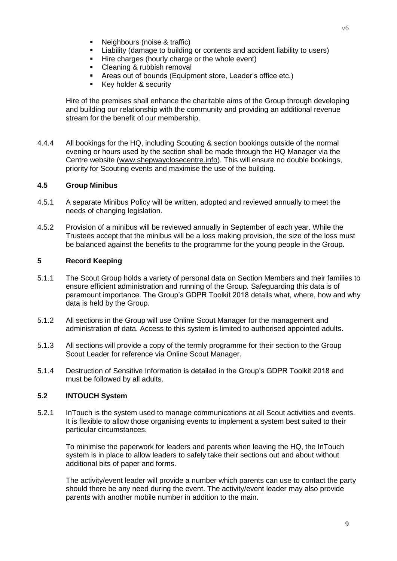- Neighbours (noise & traffic)
- Liability (damage to building or contents and accident liability to users)
- **Hire charges (hourly charge or the whole event)**
- Cleaning & rubbish removal
- Areas out of bounds (Equipment store, Leader's office etc.)
- **Key holder & security**

Hire of the premises shall enhance the charitable aims of the Group through developing and building our relationship with the community and providing an additional revenue stream for the benefit of our membership.

4.4.4 All bookings for the HQ, including Scouting & section bookings outside of the normal evening or hours used by the section shall be made through the HQ Manager via the Centre website [\(www.shepwayclosecentre.info\)](http://www.shepwayclosecentre.info/). This will ensure no double bookings, priority for Scouting events and maximise the use of the building.

#### **4.5 Group Minibus**

- 4.5.1 A separate Minibus Policy will be written, adopted and reviewed annually to meet the needs of changing legislation.
- 4.5.2 Provision of a minibus will be reviewed annually in September of each year. While the Trustees accept that the minibus will be a loss making provision, the size of the loss must be balanced against the benefits to the programme for the young people in the Group.

# **5 Record Keeping**

- 5.1.1 The Scout Group holds a variety of personal data on Section Members and their families to ensure efficient administration and running of the Group. Safeguarding this data is of paramount importance. The Group's GDPR Toolkit 2018 details what, where, how and why data is held by the Group.
- 5.1.2 All sections in the Group will use Online Scout Manager for the management and administration of data. Access to this system is limited to authorised appointed adults.
- 5.1.3 All sections will provide a copy of the termly programme for their section to the Group Scout Leader for reference via Online Scout Manager.
- 5.1.4 Destruction of Sensitive Information is detailed in the Group's GDPR Toolkit 2018 and must be followed by all adults.

# **5.2 INTOUCH System**

5.2.1 InTouch is the system used to manage communications at all Scout activities and events. It is flexible to allow those organising events to implement a system best suited to their particular circumstances.

To minimise the paperwork for leaders and parents when leaving the HQ, the InTouch system is in place to allow leaders to safely take their sections out and about without additional bits of paper and forms.

The activity/event leader will provide a number which parents can use to contact the party should there be any need during the event. The activity/event leader may also provide parents with another mobile number in addition to the main.